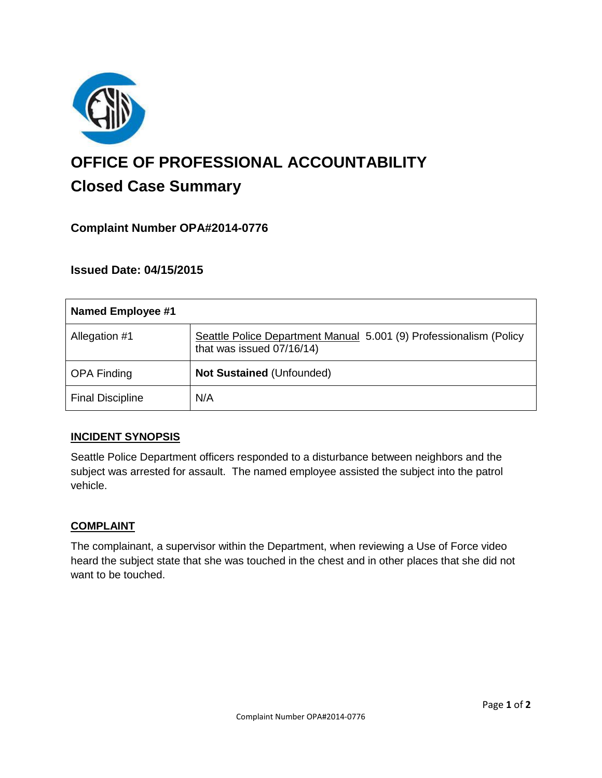

# **OFFICE OF PROFESSIONAL ACCOUNTABILITY Closed Case Summary**

## **Complaint Number OPA#2014-0776**

## **Issued Date: 04/15/2015**

| <b>Named Employee #1</b> |                                                                                                 |
|--------------------------|-------------------------------------------------------------------------------------------------|
| Allegation #1            | Seattle Police Department Manual 5.001 (9) Professionalism (Policy<br>that was issued 07/16/14) |
| <b>OPA Finding</b>       | Not Sustained (Unfounded)                                                                       |
| <b>Final Discipline</b>  | N/A                                                                                             |

#### **INCIDENT SYNOPSIS**

Seattle Police Department officers responded to a disturbance between neighbors and the subject was arrested for assault. The named employee assisted the subject into the patrol vehicle.

#### **COMPLAINT**

The complainant, a supervisor within the Department, when reviewing a Use of Force video heard the subject state that she was touched in the chest and in other places that she did not want to be touched.